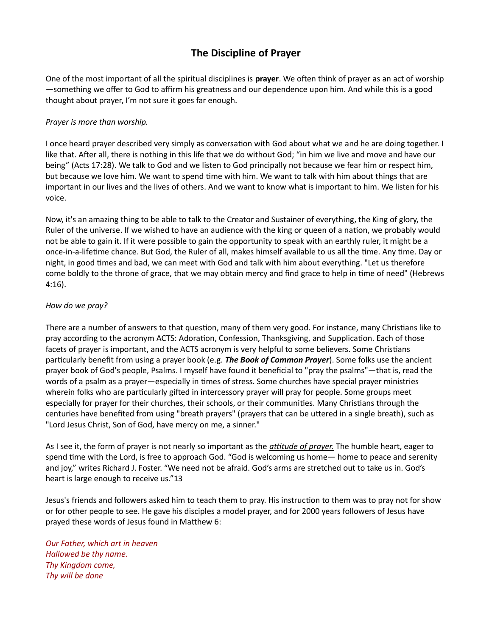## The Discipline of Prayer

One of the most important of all the spiritual disciplines is prayer. We often think of prayer as an act of worship —something we offer to God to affirm his greatness and our dependence upon him. And while this is a good thought about prayer, I'm not sure it goes far enough.

## Prayer is more than worship.

I once heard prayer described very simply as conversation with God about what we and he are doing together. I like that. After all, there is nothing in this life that we do without God; "in him we live and move and have our being" (Acts 17:28). We talk to God and we listen to God principally not because we fear him or respect him, but because we love him. We want to spend time with him. We want to talk with him about things that are important in our lives and the lives of others. And we want to know what is important to him. We listen for his voice.

Now, it's an amazing thing to be able to talk to the Creator and Sustainer of everything, the King of glory, the Ruler of the universe. If we wished to have an audience with the king or queen of a nation, we probably would not be able to gain it. If it were possible to gain the opportunity to speak with an earthly ruler, it might be a once-in-a-lifetime chance. But God, the Ruler of all, makes himself available to us all the time. Any time. Day or night, in good times and bad, we can meet with God and talk with him about everything. "Let us therefore come boldly to the throne of grace, that we may obtain mercy and find grace to help in time of need" (Hebrews 4:16).

## How do we pray?

There are a number of answers to that question, many of them very good. For instance, many Christians like to pray according to the acronym ACTS: Adoration, Confession, Thanksgiving, and Supplication. Each of those facets of prayer is important, and the ACTS acronym is very helpful to some believers. Some Christians particularly benefit from using a prayer book (e.g. **The Book of Common Prayer**). Some folks use the ancient prayer book of God's people, Psalms. I myself have found it beneficial to "pray the psalms"—that is, read the words of a psalm as a prayer—especially in times of stress. Some churches have special prayer ministries wherein folks who are particularly gifted in intercessory prayer will pray for people. Some groups meet especially for prayer for their churches, their schools, or their communities. Many Christians through the centuries have benefited from using "breath prayers" (prayers that can be uttered in a single breath), such as "Lord Jesus Christ, Son of God, have mercy on me, a sinner."

As I see it, the form of prayer is not nearly so important as the *attitude of prayer*. The humble heart, eager to spend time with the Lord, is free to approach God. "God is welcoming us home— home to peace and serenity and joy," writes Richard J. Foster. "We need not be afraid. God's arms are stretched out to take us in. God's heart is large enough to receive us."13

Jesus's friends and followers asked him to teach them to pray. His instruction to them was to pray not for show or for other people to see. He gave his disciples a model prayer, and for 2000 years followers of Jesus have prayed these words of Jesus found in Matthew 6:

Our Father, which art in heaven Hallowed be thy name. Thy Kingdom come, Thy will be done